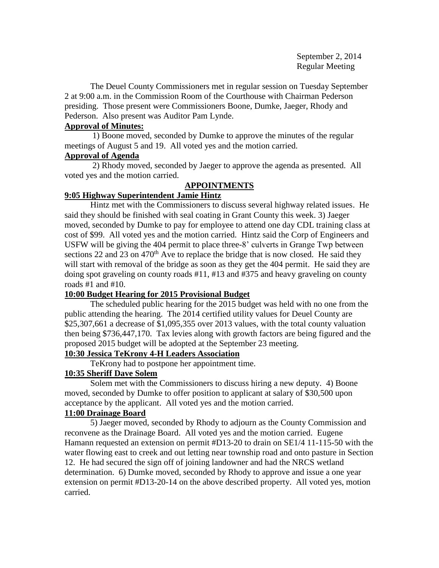September 2, 2014 Regular Meeting

The Deuel County Commissioners met in regular session on Tuesday September 2 at 9:00 a.m. in the Commission Room of the Courthouse with Chairman Pederson presiding. Those present were Commissioners Boone, Dumke, Jaeger, Rhody and Pederson. Also present was Auditor Pam Lynde.

## **Approval of Minutes:**

 1) Boone moved, seconded by Dumke to approve the minutes of the regular meetings of August 5 and 19. All voted yes and the motion carried.

## **Approval of Agenda**

2) Rhody moved, seconded by Jaeger to approve the agenda as presented. All voted yes and the motion carried.

# **APPOINTMENTS**

# **9:05 Highway Superintendent Jamie Hintz**

Hintz met with the Commissioners to discuss several highway related issues. He said they should be finished with seal coating in Grant County this week. 3) Jaeger moved, seconded by Dumke to pay for employee to attend one day CDL training class at cost of \$99. All voted yes and the motion carried. Hintz said the Corp of Engineers and USFW will be giving the 404 permit to place three-8' culverts in Grange Twp between sections 22 and 23 on 470<sup>th</sup> Ave to replace the bridge that is now closed. He said they will start with removal of the bridge as soon as they get the 404 permit. He said they are doing spot graveling on county roads #11, #13 and #375 and heavy graveling on county roads #1 and #10.

# **10:00 Budget Hearing for 2015 Provisional Budget**

The scheduled public hearing for the 2015 budget was held with no one from the public attending the hearing. The 2014 certified utility values for Deuel County are \$25,307,661 a decrease of \$1,095,355 over 2013 values, with the total county valuation then being \$736,447,170. Tax levies along with growth factors are being figured and the proposed 2015 budget will be adopted at the September 23 meeting.

## **10:30 Jessica TeKrony 4-H Leaders Association**

TeKrony had to postpone her appointment time.

# **10:35 Sheriff Dave Solem**

 Solem met with the Commissioners to discuss hiring a new deputy. 4) Boone moved, seconded by Dumke to offer position to applicant at salary of \$30,500 upon acceptance by the applicant. All voted yes and the motion carried.

# **11:00 Drainage Board**

5) Jaeger moved, seconded by Rhody to adjourn as the County Commission and reconvene as the Drainage Board. All voted yes and the motion carried. Eugene Hamann requested an extension on permit #D13-20 to drain on SE1/4 11-115-50 with the water flowing east to creek and out letting near township road and onto pasture in Section 12. He had secured the sign off of joining landowner and had the NRCS wetland determination. 6) Dumke moved, seconded by Rhody to approve and issue a one year extension on permit #D13-20-14 on the above described property. All voted yes, motion carried.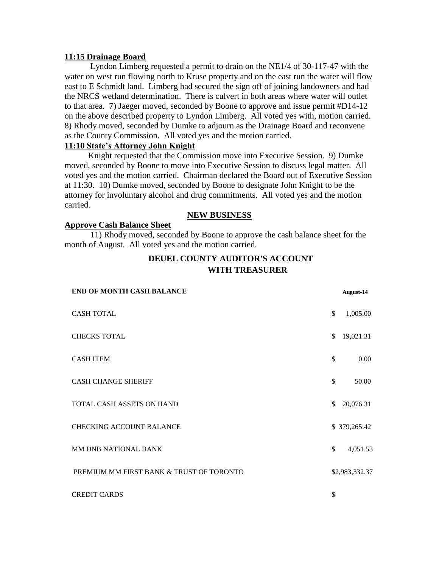### **11:15 Drainage Board**

Lyndon Limberg requested a permit to drain on the NE1/4 of 30-117-47 with the water on west run flowing north to Kruse property and on the east run the water will flow east to E Schmidt land. Limberg had secured the sign off of joining landowners and had the NRCS wetland determination. There is culvert in both areas where water will outlet to that area. 7) Jaeger moved, seconded by Boone to approve and issue permit #D14-12 on the above described property to Lyndon Limberg. All voted yes with, motion carried. 8) Rhody moved, seconded by Dumke to adjourn as the Drainage Board and reconvene as the County Commission. All voted yes and the motion carried.

### **11:10 State's Attorney John Knight**

 Knight requested that the Commission move into Executive Session. 9) Dumke moved, seconded by Boone to move into Executive Session to discuss legal matter. All voted yes and the motion carried. Chairman declared the Board out of Executive Session at 11:30. 10) Dumke moved, seconded by Boone to designate John Knight to be the attorney for involuntary alcohol and drug commitments. All voted yes and the motion carried.

### **NEW BUSINESS**

### **Approve Cash Balance Sheet**

11) Rhody moved, seconded by Boone to approve the cash balance sheet for the month of August. All voted yes and the motion carried.

# **DEUEL COUNTY AUDITOR'S ACCOUNT WITH TREASURER**

| <b>END OF MONTH CASH BALANCE</b>         |                | <b>August-14</b> |
|------------------------------------------|----------------|------------------|
| <b>CASH TOTAL</b>                        | \$             | 1,005.00         |
| <b>CHECKS TOTAL</b>                      | \$             | 19,021.31        |
| <b>CASH ITEM</b>                         | \$             | 0.00             |
| <b>CASH CHANGE SHERIFF</b>               | \$             | 50.00            |
| TOTAL CASH ASSETS ON HAND                | \$             | 20,076.31        |
| <b>CHECKING ACCOUNT BALANCE</b>          |                | \$379,265.42     |
| MM DNB NATIONAL BANK                     | $\mathbb{S}^-$ | 4,051.53         |
| PREMIUM MM FIRST BANK & TRUST OF TORONTO |                | \$2,983,332.37   |
| <b>CREDIT CARDS</b>                      | \$             |                  |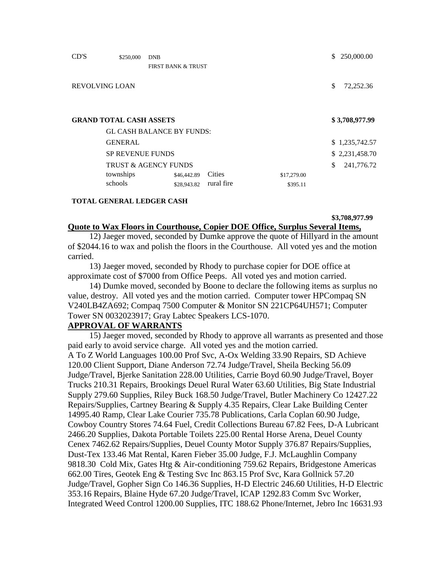| CD'S                  | \$250,000                            | <b>DNB</b><br><b>FIRST BANK &amp; TRUST</b>    |            |             | \$<br>250,000.00                   |
|-----------------------|--------------------------------------|------------------------------------------------|------------|-------------|------------------------------------|
| <b>REVOLVING LOAN</b> |                                      |                                                |            |             | \$<br>72,252.36                    |
|                       | <b>GRAND TOTAL CASH ASSETS</b>       | <b>GL CASH BALANCE BY FUNDS:</b>               |            |             | \$3,708,977.99                     |
|                       | <b>GENERAL</b>                       |                                                |            |             | \$1,235,742.57                     |
|                       | <b>SP REVENUE FUNDS</b><br>townships | <b>TRUST &amp; AGENCY FUNDS</b><br>\$46,442.89 | Cities     | \$17,279.00 | \$<br>\$2,231,458.70<br>241,776.72 |
|                       | schools                              | \$28,943.82                                    | rural fire | \$395.11    |                                    |

### **TOTAL GENERAL LEDGER CASH**

**\$3,708,977.99**

### **Quote to Wax Floors in Courthouse, Copier DOE Office, Surplus Several Items,**

 12) Jaeger moved, seconded by Dumke approve the quote of Hillyard in the amount of \$2044.16 to wax and polish the floors in the Courthouse. All voted yes and the motion carried.

 13) Jaeger moved, seconded by Rhody to purchase copier for DOE office at approximate cost of \$7000 from Office Peeps. All voted yes and motion carried.

 14) Dumke moved, seconded by Boone to declare the following items as surplus no value, destroy. All voted yes and the motion carried. Computer tower HPCompaq SN V240LB4ZA692; Compaq 7500 Computer & Monitor SN 221CP64UH571; Computer Tower SN 0032023917; Gray Labtec Speakers LCS-1070.

### **APPROVAL OF WARRANTS**

 15) Jaeger moved, seconded by Rhody to approve all warrants as presented and those paid early to avoid service charge. All voted yes and the motion carried. A To Z World Languages 100.00 Prof Svc, A-Ox Welding 33.90 Repairs, SD Achieve 120.00 Client Support, Diane Anderson 72.74 Judge/Travel, Sheila Becking 56.09 Judge/Travel, Bjerke Sanitation 228.00 Utilities, Carrie Boyd 60.90 Judge/Travel, Boyer Trucks 210.31 Repairs, Brookings Deuel Rural Water 63.60 Utilities, Big State Industrial Supply 279.60 Supplies, Riley Buck 168.50 Judge/Travel, Butler Machinery Co 12427.22 Repairs/Supplies, Cartney Bearing & Supply 4.35 Repairs, Clear Lake Building Center 14995.40 Ramp, Clear Lake Courier 735.78 Publications, Carla Coplan 60.90 Judge, Cowboy Country Stores 74.64 Fuel, Credit Collections Bureau 67.82 Fees, D-A Lubricant 2466.20 Supplies, Dakota Portable Toilets 225.00 Rental Horse Arena, Deuel County Cenex 7462.62 Repairs/Supplies, Deuel County Motor Supply 376.87 Repairs/Supplies, Dust-Tex 133.46 Mat Rental, Karen Fieber 35.00 Judge, F.J. McLaughlin Company 9818.30 Cold Mix, Gates Htg & Air-conditioning 759.62 Repairs, Bridgestone Americas 662.00 Tires, Geotek Eng & Testing Svc Inc 863.15 Prof Svc, Kara Gollnick 57.20 Judge/Travel, Gopher Sign Co 146.36 Supplies, H-D Electric 246.60 Utilities, H-D Electric 353.16 Repairs, Blaine Hyde 67.20 Judge/Travel, ICAP 1292.83 Comm Svc Worker, Integrated Weed Control 1200.00 Supplies, ITC 188.62 Phone/Internet, Jebro Inc 16631.93